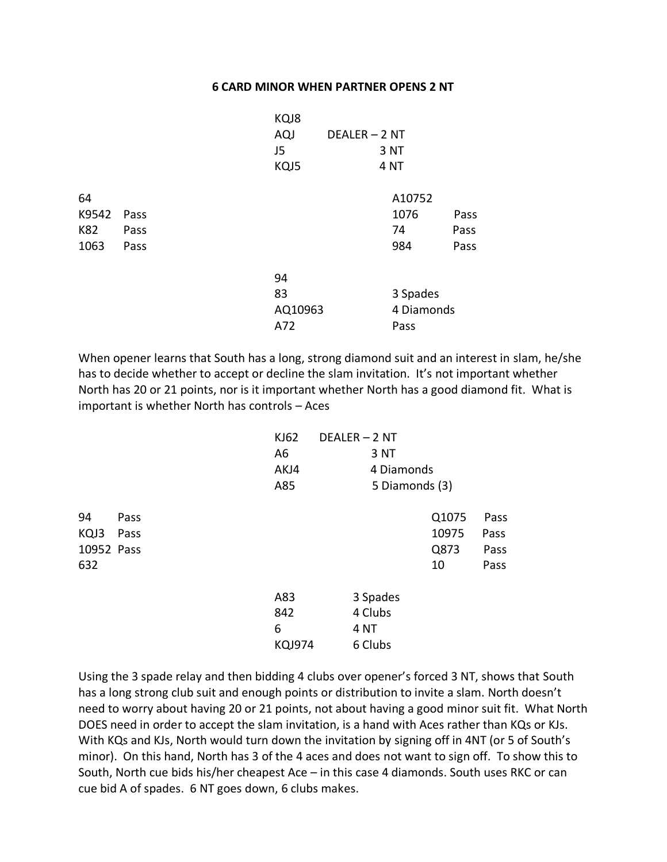## **6 CARD MINOR WHEN PARTNER OPENS 2 NT**

|       |      | KQJ8    |               |                 |      |
|-------|------|---------|---------------|-----------------|------|
|       |      | AQJ     | DEALER - 2 NT |                 |      |
|       |      | J5      |               | 3 NT            |      |
|       |      | KQJ5    |               | 4 <sub>NT</sub> |      |
| 64    |      |         |               | A10752          |      |
| K9542 | Pass |         |               | 1076            | Pass |
| K82   | Pass |         |               | 74              | Pass |
| 1063  | Pass |         |               | 984             | Pass |
|       |      | 94      |               |                 |      |
|       |      | 83      |               | 3 Spades        |      |
|       |      | AQ10963 |               | 4 Diamonds      |      |
|       |      | A72     |               | Pass            |      |
|       |      |         |               |                 |      |

When opener learns that South has a long, strong diamond suit and an interest in slam, he/she has to decide whether to accept or decline the slam invitation. It's not important whether North has 20 or 21 points, nor is it important whether North has a good diamond fit. What is important is whether North has controls – Aces

|            |      | KJ62          | DEALER - 2 NT |                 |       |      |
|------------|------|---------------|---------------|-----------------|-------|------|
|            |      | A6            |               | 3 NT            |       |      |
|            |      | AKJ4          |               | 4 Diamonds      |       |      |
|            |      | A85           |               | 5 Diamonds (3)  |       |      |
| 94         | Pass |               |               |                 | Q1075 | Pass |
| KQJ3       | Pass |               |               |                 | 10975 | Pass |
| 10952 Pass |      |               |               |                 | Q873  | Pass |
| 632        |      |               |               |                 | 10    | Pass |
|            |      | A83           |               | 3 Spades        |       |      |
|            |      | 842           |               | 4 Clubs         |       |      |
|            |      | 6             |               | 4 <sub>NT</sub> |       |      |
|            |      | <b>KQJ974</b> |               | 6 Clubs         |       |      |

Using the 3 spade relay and then bidding 4 clubs over opener's forced 3 NT, shows that South has a long strong club suit and enough points or distribution to invite a slam. North doesn't need to worry about having 20 or 21 points, not about having a good minor suit fit. What North DOES need in order to accept the slam invitation, is a hand with Aces rather than KQs or KJs. With KQs and KJs, North would turn down the invitation by signing off in 4NT (or 5 of South's minor). On this hand, North has 3 of the 4 aces and does not want to sign off. To show this to South, North cue bids his/her cheapest Ace – in this case 4 diamonds. South uses RKC or can cue bid A of spades. 6 NT goes down, 6 clubs makes.